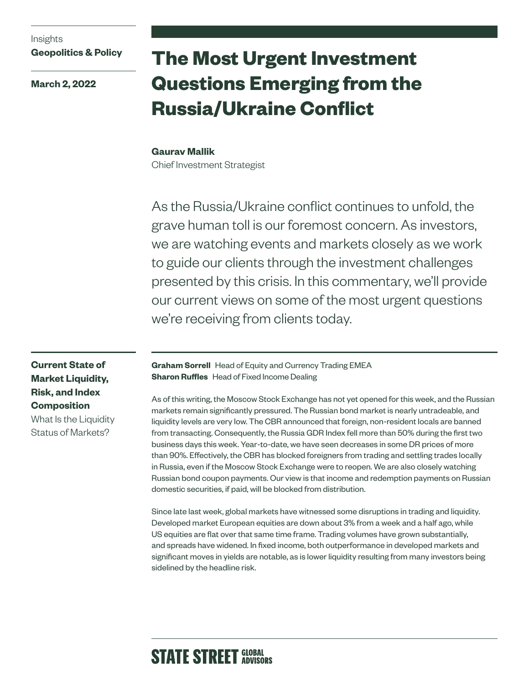# Insights **Geopolitics & Policy**

**March 2, 2022**

# **The Most Urgent Investment Questions Emerging from the Russia/Ukraine Conflict**

## **Gaurav Mallik**

Chief Investment Strategist

As the Russia/Ukraine conflict continues to unfold, the grave human toll is our foremost concern. As investors, we are watching events and markets closely as we work to guide our clients through the investment challenges presented by this crisis. In this commentary, we'll provide our current views on some of the most urgent questions we're receiving from clients today.

**Current State of Market Liquidity, Risk, and Index Composition** What Is the Liquidity

Status of Markets?

**Graham Sorrell** Head of Equity and Currency Trading EMEA **Sharon Ruffles** Head of Fixed Income Dealing

As of this writing, the Moscow Stock Exchange has not yet opened for this week, and the Russian markets remain significantly pressured. The Russian bond market is nearly untradeable, and liquidity levels are very low. The CBR announced that foreign, non-resident locals are banned from transacting. Consequently, the Russia GDR Index fell more than 50% during the first two business days this week. Year-to-date, we have seen decreases in some DR prices of more than 90%. Effectively, the CBR has blocked foreigners from trading and settling trades locally in Russia, even if the Moscow Stock Exchange were to reopen. We are also closely watching Russian bond coupon payments. Our view is that income and redemption payments on Russian domestic securities, if paid, will be blocked from distribution.

Since late last week, global markets have witnessed some disruptions in trading and liquidity. Developed market European equities are down about 3% from a week and a half ago, while US equities are flat over that same time frame. Trading volumes have grown substantially, and spreads have widened. In fixed income, both outperformance in developed markets and significant moves in yields are notable, as is lower liquidity resulting from many investors being sidelined by the headline risk.

# **STATE STREET GLOBAL**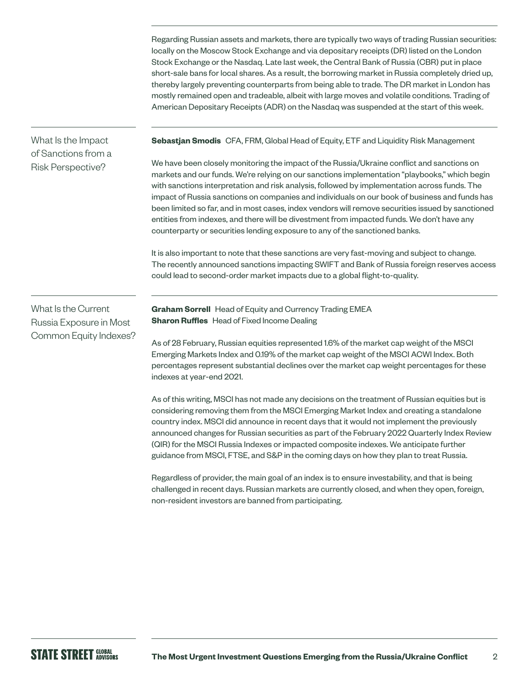Regarding Russian assets and markets, there are typically two ways of trading Russian securities: locally on the Moscow Stock Exchange and via depositary receipts (DR) listed on the London Stock Exchange or the Nasdaq. Late last week, the Central Bank of Russia (CBR) put in place short-sale bans for local shares. As a result, the borrowing market in Russia completely dried up, thereby largely preventing counterparts from being able to trade. The DR market in London has mostly remained open and tradeable, albeit with large moves and volatile conditions. Trading of American Depositary Receipts (ADR) on the Nasdaq was suspended at the start of this week.

# What Is the Impact of Sanctions from a Risk Perspective?

**Sebastjan Smodis** CFA, FRM, Global Head of Equity, ETF and Liquidity Risk Management

We have been closely monitoring the impact of the Russia/Ukraine conflict and sanctions on markets and our funds. We're relying on our sanctions implementation "playbooks," which begin with sanctions interpretation and risk analysis, followed by implementation across funds. The impact of Russia sanctions on companies and individuals on our book of business and funds has been limited so far, and in most cases, index vendors will remove securities issued by sanctioned entities from indexes, and there will be divestment from impacted funds. We don't have any counterparty or securities lending exposure to any of the sanctioned banks.

It is also important to note that these sanctions are very fast-moving and subject to change. The recently announced sanctions impacting SWIFT and Bank of Russia foreign reserves access could lead to second-order market impacts due to a global flight-to-quality.

What Is the Current Russia Exposure in Most Common Equity Indexes? **Graham Sorrell** Head of Equity and Currency Trading EMEA **Sharon Ruffles** Head of Fixed Income Dealing

As of 28 February, Russian equities represented 1.6% of the market cap weight of the MSCI Emerging Markets Index and 0.19% of the market cap weight of the MSCI ACWI Index. Both percentages represent substantial declines over the market cap weight percentages for these indexes at year-end 2021.

As of this writing, MSCI has not made any decisions on the treatment of Russian equities but is considering removing them from the MSCI Emerging Market Index and creating a standalone country index. MSCI did announce in recent days that it would not implement the previously announced changes for Russian securities as part of the February 2022 Quarterly Index Review (QIR) for the MSCI Russia Indexes or impacted composite indexes. We anticipate further guidance from MSCI, FTSE, and S&P in the coming days on how they plan to treat Russia.

Regardless of provider, the main goal of an index is to ensure investability, and that is being challenged in recent days. Russian markets are currently closed, and when they open, foreign, non-resident investors are banned from participating.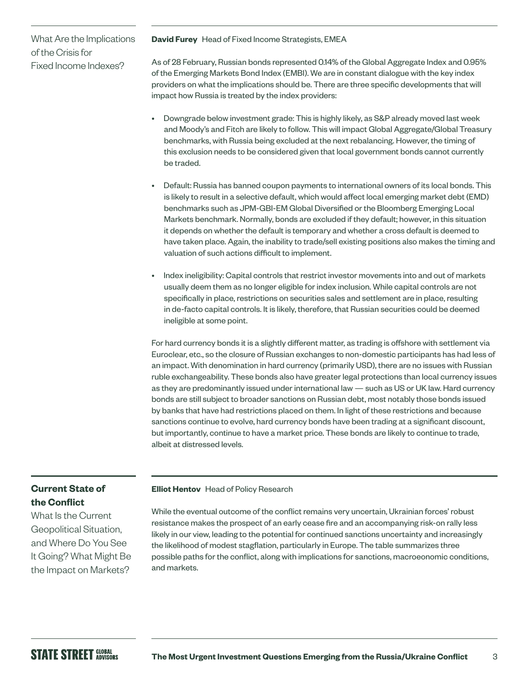# What Are the Implications of the Crisis for Fixed Income Indexes?

#### **David Furey** Head of Fixed Income Strategists, EMEA

As of 28 February, Russian bonds represented 0.14% of the Global Aggregate Index and 0.95% of the Emerging Markets Bond Index (EMBI). We are in constant dialogue with the key index providers on what the implications should be. There are three specific developments that will impact how Russia is treated by the index providers:

- Downgrade below investment grade: This is highly likely, as S&P already moved last week and Moody's and Fitch are likely to follow. This will impact Global Aggregate/Global Treasury benchmarks, with Russia being excluded at the next rebalancing. However, the timing of this exclusion needs to be considered given that local government bonds cannot currently be traded.
- Default: Russia has banned coupon payments to international owners of its local bonds. This is likely to result in a selective default, which would affect local emerging market debt (EMD) benchmarks such as JPM-GBI-EM Global Diversified or the Bloomberg Emerging Local Markets benchmark. Normally, bonds are excluded if they default; however, in this situation it depends on whether the default is temporary and whether a cross default is deemed to have taken place. Again, the inability to trade/sell existing positions also makes the timing and valuation of such actions difficult to implement.
- Index ineligibility: Capital controls that restrict investor movements into and out of markets usually deem them as no longer eligible for index inclusion. While capital controls are not specifically in place, restrictions on securities sales and settlement are in place, resulting in de-facto capital controls. It is likely, therefore, that Russian securities could be deemed ineligible at some point.

For hard currency bonds it is a slightly different matter, as trading is offshore with settlement via Euroclear, etc., so the closure of Russian exchanges to non-domestic participants has had less of an impact. With denomination in hard currency (primarily USD), there are no issues with Russian ruble exchangeability. These bonds also have greater legal protections than local currency issues as they are predominantly issued under international law — such as US or UK law. Hard currency bonds are still subject to broader sanctions on Russian debt, most notably those bonds issued by banks that have had restrictions placed on them. In light of these restrictions and because sanctions continue to evolve, hard currency bonds have been trading at a significant discount, but importantly, continue to have a market price. These bonds are likely to continue to trade, albeit at distressed levels.

## **Current State of the Conflict**

What Is the Current Geopolitical Situation, and Where Do You See It Going? What Might Be the Impact on Markets?

**Elliot Hentov** Head of Policy Research

While the eventual outcome of the conflict remains very uncertain, Ukrainian forces' robust resistance makes the prospect of an early cease fire and an accompanying risk-on rally less likely in our view, leading to the potential for continued sanctions uncertainty and increasingly the likelihood of modest stagflation, particularly in Europe. The table summarizes three possible paths for the conflict, along with implications for sanctions, macroeonomic conditions, and markets.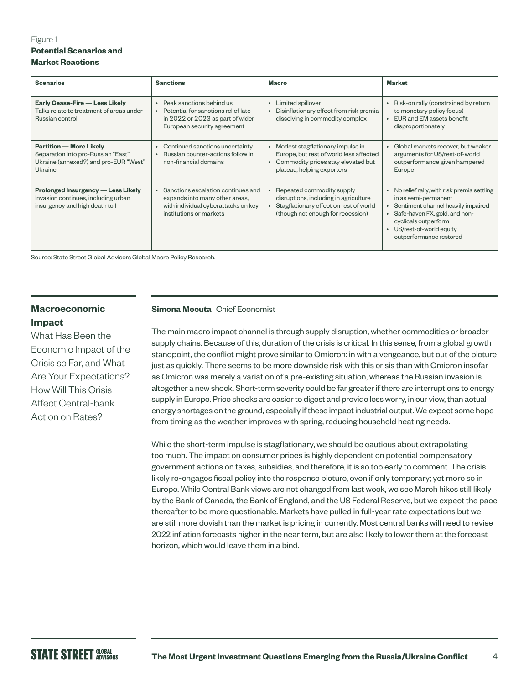### Figure 1 **Potential Scenarios and Market Reactions**

| <b>Scenarios</b>                                                                                                         | <b>Sanctions</b>                                                                                                                                    | <b>Macro</b>                                                                                                                                                              | <b>Market</b>                                                                                                                                                                                                                                                  |
|--------------------------------------------------------------------------------------------------------------------------|-----------------------------------------------------------------------------------------------------------------------------------------------------|---------------------------------------------------------------------------------------------------------------------------------------------------------------------------|----------------------------------------------------------------------------------------------------------------------------------------------------------------------------------------------------------------------------------------------------------------|
| Early Cease-Fire - Less Likely<br>Talks relate to treatment of areas under<br>Russian control                            | Peak sanctions behind us<br>$\bullet$<br>• Potential for sanctions relief late<br>in 2022 or 2023 as part of wider<br>European security agreement   | Limited spillover<br>$\bullet$<br>Disinflationary effect from risk premia<br>dissolving in commodity complex                                                              | Risk-on rally (constrained by return<br>$\bullet$<br>to monetary policy focus)<br>EUR and EM assets benefit<br>disproportionately                                                                                                                              |
| <b>Partition - More Likely</b><br>Separation into pro-Russian "East"<br>Ukraine (annexed?) and pro-EUR "West"<br>Ukraine | Continued sanctions uncertainty<br>$\bullet$<br><b>Russian counter-actions follow in</b><br>$\bullet$<br>non-financial domains                      | Modest stagflationary impulse in<br>$\bullet$<br>Europe, but rest of world less affected<br>Commodity prices stay elevated but<br>$\bullet$<br>plateau, helping exporters | Global markets recover, but weaker<br>$\bullet$<br>arguments for US/rest-of-world<br>outperformance given hampered<br>Europe                                                                                                                                   |
| <b>Prolonged Insurgency — Less Likely</b><br>Invasion continues, including urban<br>insurgency and high death toll       | Sanctions escalation continues and<br>$\bullet$<br>expands into many other areas,<br>with individual cyberattacks on key<br>institutions or markets | Repeated commodity supply<br>disruptions, including in agriculture<br>Stagflationary effect on rest of world<br>$\bullet$<br>(though not enough for recession)            | No relief rally, with risk premia settling<br>$\bullet$<br>in as semi-permanent<br>Sentiment channel heavily impaired<br>$\bullet$<br>Safe-haven FX, gold, and non-<br>$\bullet$<br>cyclicals outperform<br>US/rest-of-world equity<br>outperformance restored |

Source: State Street Global Advisors Global Macro Policy Research.

## **Macroeconomic Impact**

What Has Been the Economic Impact of the Crisis so Far, and What Are Your Expectations? How Will This Crisis Affect Central-bank Action on Rates?

#### **Simona Mocuta** Chief Economist

The main macro impact channel is through supply disruption, whether commodities or broader supply chains. Because of this, duration of the crisis is critical. In this sense, from a global growth standpoint, the conflict might prove similar to Omicron: in with a vengeance, but out of the picture just as quickly. There seems to be more downside risk with this crisis than with Omicron insofar as Omicron was merely a variation of a pre-existing situation, whereas the Russian invasion is altogether a new shock. Short-term severity could be far greater if there are interruptions to energy supply in Europe. Price shocks are easier to digest and provide less worry, in our view, than actual energy shortages on the ground, especially if these impact industrial output. We expect some hope from timing as the weather improves with spring, reducing household heating needs.

While the short-term impulse is stagflationary, we should be cautious about extrapolating too much. The impact on consumer prices is highly dependent on potential compensatory government actions on taxes, subsidies, and therefore, it is so too early to comment. The crisis likely re-engages fiscal policy into the response picture, even if only temporary; yet more so in Europe. While Central Bank views are not changed from last week, we see March hikes still likely by the Bank of Canada, the Bank of England, and the US Federal Reserve, but we expect the pace thereafter to be more questionable. Markets have pulled in full-year rate expectations but we are still more dovish than the market is pricing in currently. Most central banks will need to revise 2022 inflation forecasts higher in the near term, but are also likely to lower them at the forecast horizon, which would leave them in a bind.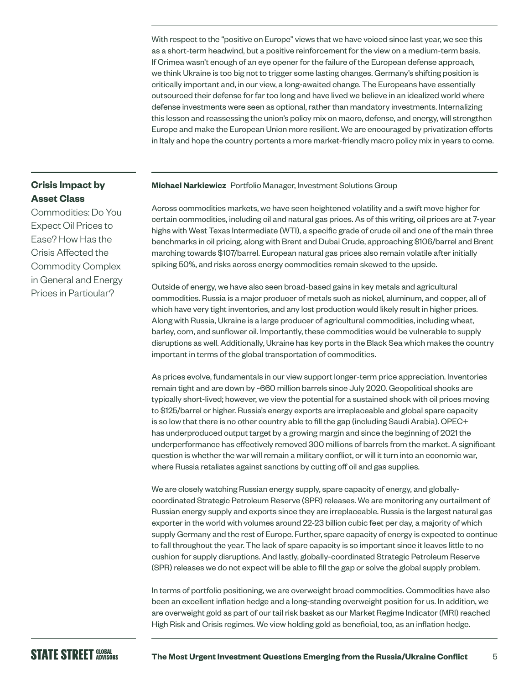With respect to the "positive on Europe" views that we have voiced since last year, we see this as a short-term headwind, but a positive reinforcement for the view on a medium-term basis. If Crimea wasn't enough of an eye opener for the failure of the European defense approach, we think Ukraine is too big not to trigger some lasting changes. Germany's shifting position is critically important and, in our view, a long-awaited change. The Europeans have essentially outsourced their defense for far too long and have lived we believe in an idealized world where defense investments were seen as optional, rather than mandatory investments. Internalizing this lesson and reassessing the union's policy mix on macro, defense, and energy, will strengthen Europe and make the European Union more resilient. We are encouraged by privatization efforts in Italy and hope the country portents a more market-friendly macro policy mix in years to come.

#### **Michael Narkiewicz** Portfolio Manager, Investment Solutions Group

Across commodities markets, we have seen heightened volatility and a swift move higher for certain commodities, including oil and natural gas prices. As of this writing, oil prices are at 7-year highs with West Texas Intermediate (WTI), a specific grade of crude oil and one of the main three benchmarks in oil pricing, along with Brent and Dubai Crude, approaching \$106/barrel and Brent marching towards \$107/barrel. European natural gas prices also remain volatile after initially spiking 50%, and risks across energy commodities remain skewed to the upside.

Outside of energy, we have also seen broad-based gains in key metals and agricultural commodities. Russia is a major producer of metals such as nickel, aluminum, and copper, all of which have very tight inventories, and any lost production would likely result in higher prices. Along with Russia, Ukraine is a large producer of agricultural commodities, including wheat, barley, corn, and sunflower oil. Importantly, these commodities would be vulnerable to supply disruptions as well. Additionally, Ukraine has key ports in the Black Sea which makes the country important in terms of the global transportation of commodities.

As prices evolve, fundamentals in our view support longer-term price appreciation. Inventories remain tight and are down by ~660 million barrels since July 2020. Geopolitical shocks are typically short-lived; however, we view the potential for a sustained shock with oil prices moving to \$125/barrel or higher. Russia's energy exports are irreplaceable and global spare capacity is so low that there is no other country able to fill the gap (including Saudi Arabia). OPEC+ has underproduced output target by a growing margin and since the beginning of 2021 the underperformance has effectively removed 300 millions of barrels from the market. A significant question is whether the war will remain a military conflict, or will it turn into an economic war, where Russia retaliates against sanctions by cutting off oil and gas supplies.

We are closely watching Russian energy supply, spare capacity of energy, and globallycoordinated Strategic Petroleum Reserve (SPR) releases. We are monitoring any curtailment of Russian energy supply and exports since they are irreplaceable. Russia is the largest natural gas exporter in the world with volumes around 22-23 billion cubic feet per day, a majority of which supply Germany and the rest of Europe. Further, spare capacity of energy is expected to continue to fall throughout the year. The lack of spare capacity is so important since it leaves little to no cushion for supply disruptions. And lastly, globally-coordinated Strategic Petroleum Reserve (SPR) releases we do not expect will be able to fill the gap or solve the global supply problem.

In terms of portfolio positioning, we are overweight broad commodities. Commodities have also been an excellent inflation hedge and a long-standing overweight position for us. In addition, we are overweight gold as part of our tail risk basket as our Market Regime Indicator (MRI) reached High Risk and Crisis regimes. We view holding gold as beneficial, too, as an inflation hedge.

# **Crisis Impact by Asset Class**

Commodities: Do You Expect Oil Prices to Ease? How Has the Crisis Affected the Commodity Complex in General and Energy Prices in Particular?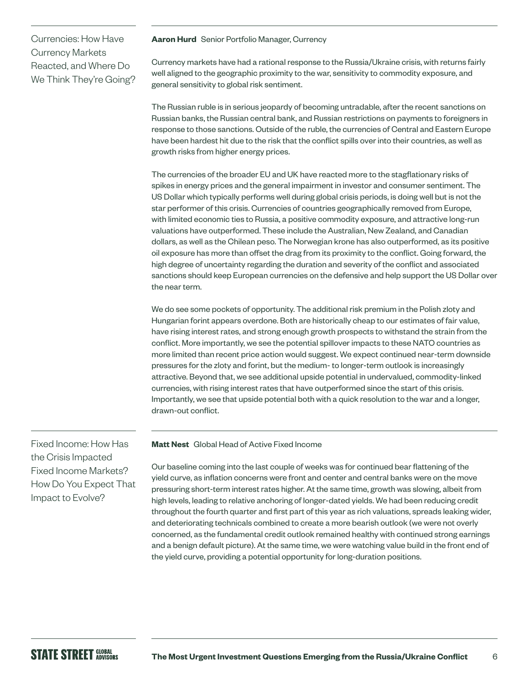# Currencies: How Have Currency Markets Reacted, and Where Do We Think They're Going?

#### **Aaron Hurd** Senior Portfolio Manager, Currency

Currency markets have had a rational response to the Russia/Ukraine crisis, with returns fairly well aligned to the geographic proximity to the war, sensitivity to commodity exposure, and general sensitivity to global risk sentiment.

The Russian ruble is in serious jeopardy of becoming untradable, after the recent sanctions on Russian banks, the Russian central bank, and Russian restrictions on payments to foreigners in response to those sanctions. Outside of the ruble, the currencies of Central and Eastern Europe have been hardest hit due to the risk that the conflict spills over into their countries, as well as growth risks from higher energy prices.

The currencies of the broader EU and UK have reacted more to the stagflationary risks of spikes in energy prices and the general impairment in investor and consumer sentiment. The US Dollar which typically performs well during global crisis periods, is doing well but is not the star performer of this crisis. Currencies of countries geographically removed from Europe, with limited economic ties to Russia, a positive commodity exposure, and attractive long-run valuations have outperformed. These include the Australian, New Zealand, and Canadian dollars, as well as the Chilean peso. The Norwegian krone has also outperformed, as its positive oil exposure has more than offset the drag from its proximity to the conflict. Going forward, the high degree of uncertainty regarding the duration and severity of the conflict and associated sanctions should keep European currencies on the defensive and help support the US Dollar over the near term.

We do see some pockets of opportunity. The additional risk premium in the Polish zloty and Hungarian forint appears overdone. Both are historically cheap to our estimates of fair value, have rising interest rates, and strong enough growth prospects to withstand the strain from the conflict. More importantly, we see the potential spillover impacts to these NATO countries as more limited than recent price action would suggest. We expect continued near-term downside pressures for the zloty and forint, but the medium- to longer-term outlook is increasingly attractive. Beyond that, we see additional upside potential in undervalued, commodity-linked currencies, with rising interest rates that have outperformed since the start of this crisis. Importantly, we see that upside potential both with a quick resolution to the war and a longer, drawn-out conflict.

**Matt Nest** Global Head of Active Fixed Income

Our baseline coming into the last couple of weeks was for continued bear flattening of the yield curve, as inflation concerns were front and center and central banks were on the move pressuring short-term interest rates higher. At the same time, growth was slowing, albeit from high levels, leading to relative anchoring of longer-dated yields. We had been reducing credit throughout the fourth quarter and first part of this year as rich valuations, spreads leaking wider, and deteriorating technicals combined to create a more bearish outlook (we were not overly concerned, as the fundamental credit outlook remained healthy with continued strong earnings and a benign default picture). At the same time, we were watching value build in the front end of the yield curve, providing a potential opportunity for long-duration positions.

Fixed Income: How Has the Crisis Impacted Fixed Income Markets? How Do You Expect That Impact to Evolve?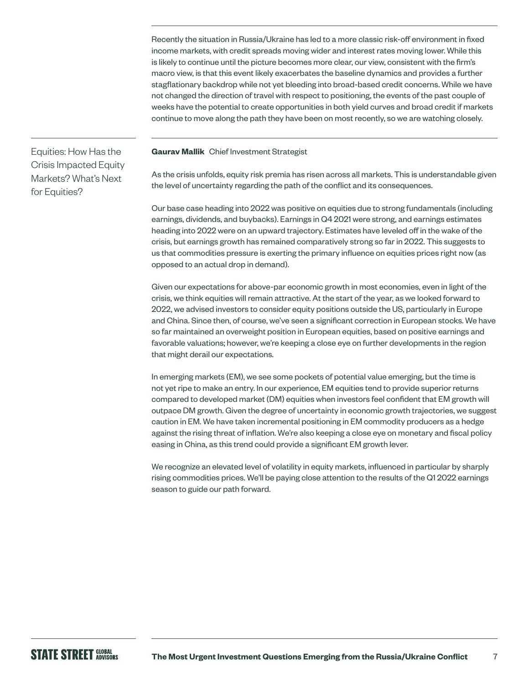Recently the situation in Russia/Ukraine has led to a more classic risk-off environment in fixed income markets, with credit spreads moving wider and interest rates moving lower. While this is likely to continue until the picture becomes more clear, our view, consistent with the firm's macro view, is that this event likely exacerbates the baseline dynamics and provides a further stagflationary backdrop while not yet bleeding into broad-based credit concerns. While we have not changed the direction of travel with respect to positioning, the events of the past couple of weeks have the potential to create opportunities in both yield curves and broad credit if markets continue to move along the path they have been on most recently, so we are watching closely.

**Gaurav Mallik** Chief Investment Strategist

As the crisis unfolds, equity risk premia has risen across all markets. This is understandable given the level of uncertainty regarding the path of the conflict and its consequences.

Our base case heading into 2022 was positive on equities due to strong fundamentals (including earnings, dividends, and buybacks). Earnings in Q4 2021 were strong, and earnings estimates heading into 2022 were on an upward trajectory. Estimates have leveled off in the wake of the crisis, but earnings growth has remained comparatively strong so far in 2022. This suggests to us that commodities pressure is exerting the primary influence on equities prices right now (as opposed to an actual drop in demand).

Given our expectations for above-par economic growth in most economies, even in light of the crisis, we think equities will remain attractive. At the start of the year, as we looked forward to 2022, we advised investors to consider equity positions outside the US, particularly in Europe and China. Since then, of course, we've seen a significant correction in European stocks. We have so far maintained an overweight position in European equities, based on positive earnings and favorable valuations; however, we're keeping a close eye on further developments in the region that might derail our expectations.

In emerging markets (EM), we see some pockets of potential value emerging, but the time is not yet ripe to make an entry. In our experience, EM equities tend to provide superior returns compared to developed market (DM) equities when investors feel confident that EM growth will outpace DM growth. Given the degree of uncertainty in economic growth trajectories, we suggest caution in EM. We have taken incremental positioning in EM commodity producers as a hedge against the rising threat of inflation. We're also keeping a close eye on monetary and fiscal policy easing in China, as this trend could provide a significant EM growth lever.

We recognize an elevated level of volatility in equity markets, influenced in particular by sharply rising commodities prices. We'll be paying close attention to the results of the Q1 2022 earnings season to guide our path forward.

Equities: How Has the Crisis Impacted Equity Markets? What's Next for Equities?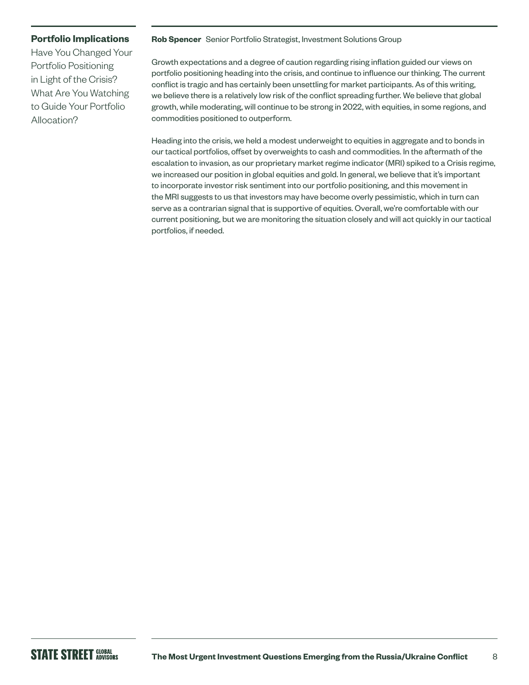### **Portfolio Implications**

Have You Changed Your Portfolio Positioning in Light of the Crisis? What Are You Watching to Guide Your Portfolio Allocation?

#### **Rob Spencer** Senior Portfolio Strategist, Investment Solutions Group

Growth expectations and a degree of caution regarding rising inflation guided our views on portfolio positioning heading into the crisis, and continue to influence our thinking. The current conflict is tragic and has certainly been unsettling for market participants. As of this writing, we believe there is a relatively low risk of the conflict spreading further. We believe that global growth, while moderating, will continue to be strong in 2022, with equities, in some regions, and commodities positioned to outperform.

Heading into the crisis, we held a modest underweight to equities in aggregate and to bonds in our tactical portfolios, offset by overweights to cash and commodities. In the aftermath of the escalation to invasion, as our proprietary market regime indicator (MRI) spiked to a Crisis regime, we increased our position in global equities and gold. In general, we believe that it's important to incorporate investor risk sentiment into our portfolio positioning, and this movement in the MRI suggests to us that investors may have become overly pessimistic, which in turn can serve as a contrarian signal that is supportive of equities. Overall, we're comfortable with our current positioning, but we are monitoring the situation closely and will act quickly in our tactical portfolios, if needed.